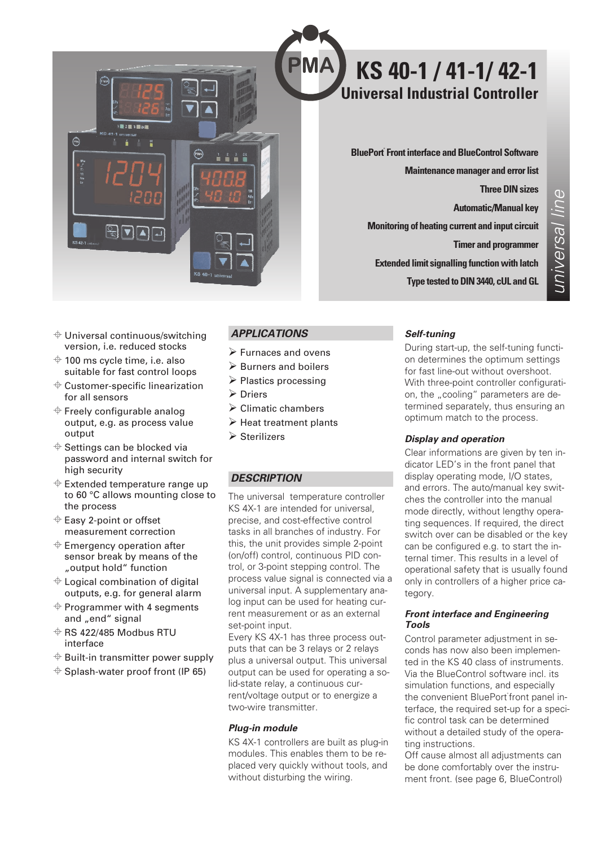

# **KS 40-1 / 41-1/ 42-1 Universal Industrial Controller**

**BluePort® Front interface and BlueControl Software Maintenance manager and error list Three DIN sizes Automatic/Manual key Monitoring of heating current and input circuit Timer and programmer Extended limit signalling function with latch Type tested to DIN 3440, cUL and GL**

- $\triangleq$  Universal continuous/switching version, i.e. reduced stocks
- $\triangleq$  100 ms cycle time, i.e. also suitable for fast control loops
- $\triangleq$  Customer-specific linearization for all sensors
- $\triangleq$  Freely configurable analog output, e.g. as process value output
- $\triangleq$  Settings can be blocked via password and internal switch for high security
- $\triangleq$  Extended temperature range up to 60 °C allows mounting close to the process
- $\triangleq$  Easy 2-point or offset measurement correction
- $\triangleq$  Emergency operation after sensor break by means of the "output hold" function
- $\triangleq$  Logical combination of digital outputs, e.g. for general alarm
- $\triangleq$  Programmer with 4 segments and "end" signal
- $\Leftrightarrow$  RS 422/485 Modbus RTU interface
- $\triangleq$  Built-in transmitter power supply
- $\triangleq$  Splash-water proof front (IP 65)

# *APPLICATIONS*

- Furnaces and ovens
- Burners and boilers
- > Plastics processing
- Driers
- Climatic chambers
- Heat treatment plants
- Sterilizers

### *DESCRIPTION*

The universal temperature controller KS 4X-1 are intended for universal, precise, and cost-effective control tasks in all branches of industry. For this, the unit provides simple 2-point (on/off) control, continuous PID control, or 3-point stepping control. The process value signal is connected via a universal input. A supplementary analog input can be used for heating current measurement or as an external set-point input.

Every KS 4X-1 has three process outputs that can be 3 relays or 2 relays plus a universal output. This universal output can be used for operating a solid-state relay, a continuous current/voltage output or to energize a two-wire transmitter.

#### *Plug-in module*

KS 4X-1 controllers are built as plug-in modules. This enables them to be replaced very quickly without tools, and without disturbing the wiring.

### *Self-tuning*

During start-up, the self-tuning function determines the optimum settings for fast line-out without overshoot. With three-point controller configuration, the "cooling" parameters are determined separately, thus ensuring an optimum match to the process.

### *Display and operation*

Clear informations are given by ten indicator LED's in the front panel that display operating mode, I/O states, and errors. The auto/manual key switches the controller into the manual mode directly, without lengthy operating sequences. If required, the direct switch over can be disabled or the key can be configured e.g. to start the internal timer. This results in a level of operational safety that is usually found only in controllers of a higher price category.

#### *Front interface and Engineering Tools*

Control parameter adjustment in seconds has now also been implemented in the KS 40 class of instruments. Via the BlueControl software incl. its simulation functions, and especially the convenient BluePort front panel interface, the required set-up for a specific control task can be determined without a detailed study of the operating instructions.

Off cause almost all adjustments can be done comfortably over the instrument front. (see page 6, BlueControl)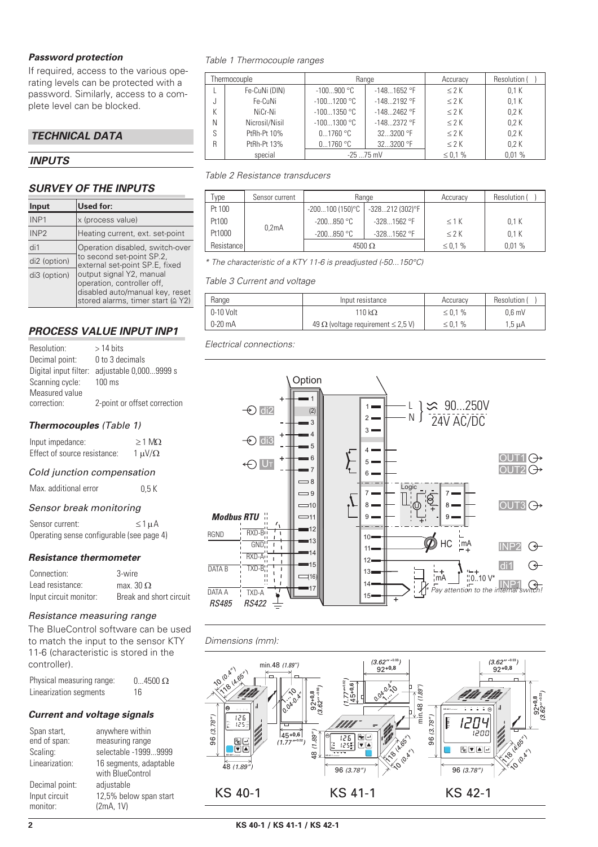#### *Password protection*

If required, access to the various operating levels can be protected with a password. Similarly, access to a complete level can be blocked.

### *TECHNICAL DATA*

### *INPUTS*

### *SURVEY OF THE INPUTS*

| Input            | Used for:                                                                                                                      |
|------------------|--------------------------------------------------------------------------------------------------------------------------------|
| INP <sub>1</sub> | x (process value)                                                                                                              |
| INP <sub>2</sub> | Heating current, ext. set-point                                                                                                |
| di1              | Operation disabled, switch-over                                                                                                |
| di2 (option)     | to second set-point SP.2,<br>external set-point SP.E, fixed                                                                    |
| di3 (option)     | output signal Y2, manual<br>operation, controller off,<br>disabled auto/manual key, reset<br>stored alarms, timer start (≙ Y2) |

### *PROCESS VALUE INPUT INP1*

| Resolution:     | $>14$ bits                                   |
|-----------------|----------------------------------------------|
| Decimal point:  | 0 to 3 decimals                              |
|                 | Digital input filter: adjustable 0,0009999 s |
| Scanning cycle: | $100 \text{ ms}$                             |
| Measured value  |                                              |
| correction:     | 2-point or offset correction                 |

#### *Thermocouples (Table 1)*

| Input impedance:             | $\geq$ 1 MQ      |
|------------------------------|------------------|
| Effect of source resistance: | $1 \mu V/\Omega$ |

#### *Cold junction compensation*

| Max. additional error | 0.5K |
|-----------------------|------|
|                       |      |

#### *Sensor break monitoring*

| Sensor current: |                                           | $\leq 1$ $\mu$ A |
|-----------------|-------------------------------------------|------------------|
|                 | Operating sense configurable (see page 4) |                  |

### *Resistance thermometer*

| Connection:            | 3-wire                  |
|------------------------|-------------------------|
| Lead resistance:       | max. $30 \Omega$        |
| Input circuit monitor: | Break and short circuit |

#### *Resistance measuring range*

The BlueControl software can be used to match the input to the sensor KTY 11-6 (characteristic is stored in the controller).

Physical measuring range:  $0...4500 \Omega$ Linearization segments 16

#### *Current and voltage signals*

| Span start,<br>end of span: | anywhere within<br>measuring range         |
|-----------------------------|--------------------------------------------|
| Scaling:                    | selectable -19999999                       |
| Linearization:              | 16 segments, adaptable<br>with BlueControl |
| Decimal point:              | adjustable                                 |
| Input circuit<br>monitor:   | 12,5% below span start<br>(2mA, 1V)        |
|                             |                                            |

*Table 1 Thermocouple ranges*

| Thermocouple |                | Range         |               | Accuracy      | Resolution ( |
|--------------|----------------|---------------|---------------|---------------|--------------|
|              | Fe-CuNi (DIN)  | $-100900 °C$  | $-1481652$ °F | < 2 K         | 0.1K         |
|              | Fe-CuNi        | $-1001200$ °C | $-1482192$ °F | < 2 K         | 0.1K         |
|              | NiCr-Ni        | $-1001350$ °C | $-1482462$ °F | < 2 K         | 0.2K         |
| N            | Nicrosil/Nisil | $-1001300$ °C | $-1482372$ °F | < 2 K         | 0.2K         |
| S            | PtRh-Pt 10%    | 01760 °C      | 32.3200 °F    | < 2 K         | 0.2K         |
| R            | PtRh-Pt 13%    | 01760 °C      | 323200 °F     | < 2 K         | 0.2K         |
|              | special        | $-25$ 75 mV   |               | $\leq 0.1 \%$ | 0.01%        |

#### *Table 2 Resistance transducers*

| Type       | Sensor current     | Range             |                 | Accuracy | Resolution ( |
|------------|--------------------|-------------------|-----------------|----------|--------------|
| Pt 100     |                    | $-200100(150)$ °C | -328212 (302)°F |          |              |
| Pt100      |                    | $-200850$ °C      | $-3281562$ °F   | $<$ 1 K  | 0.1K         |
| Pt1000     | 0.2 <sub>m</sub> A | $-200850$ °C      | $-3281562$ °F   | $<$ 2 K  | 0.1K         |
| Resistance |                    | $4500 \Omega$     |                 | ≤ 0,1 %  | 0.01%        |

*\* The characteristic of a KTY 11-6 is preadjusted (-50...150°C)*

#### *Table 3 Current and voltage*

| Range       | Input resistance                               | Accuracy      | Resolution ( |
|-------------|------------------------------------------------|---------------|--------------|
| $0-10$ Volt | 110 k $\Omega$                                 | $\leq 0.1 \%$ | $0.6$ mV     |
| $0-20$ mA   | 49 $\Omega$ (voltage requirement $\leq$ 2,5 V) | $\leq 0.1 \%$ | $1.5 \mu A$  |

*Electrical connections:*



### *Dimensions (mm):*

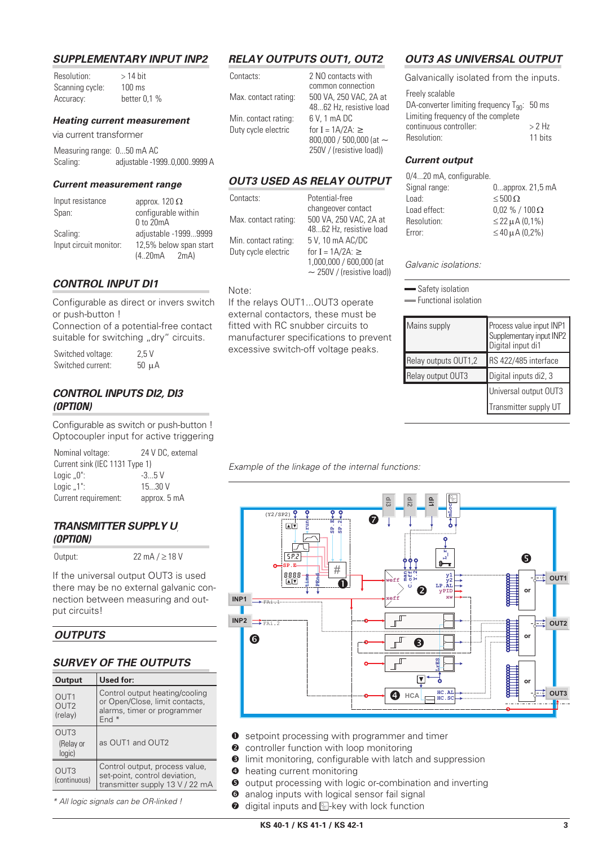#### *SUPPLEMENTARY INPUT INP2*

| Resolution:     | $>14$ bit        |  |
|-----------------|------------------|--|
| Scanning cycle: | $100 \text{ ms}$ |  |
| Accuracy:       | better $0.1%$    |  |

#### *Heating current measurement*

via current transformer

| Measuring range: 050 mA AC |                             |
|----------------------------|-----------------------------|
| Scaling:                   | adjustable -19990,0009999 A |

#### *Current measurement range*

| Input resistance       | approx. 120 $\Omega$   |
|------------------------|------------------------|
| Span:                  | configurable within    |
|                        | $0$ to $20mA$          |
| Scaling:               | adjustable -19999999   |
| Input circuit monitor: | 12,5% below span start |
|                        | $(4.20mA$ $2mA)$       |

### *CONTROL INPUT DI1*

Configurable as direct or invers switch or push-button ! Connection of a potential-free contact suitable for switching "dry" circuits.

Switched voltage: 2,5 V Switched current: 50 µA

### *CONTROL INPUTS DI2, DI3 (OPTION)*

Configurable as switch or push-button ! Optocoupler input for active triggering

| Nominal voltage:               | 24 V DC, external |
|--------------------------------|-------------------|
| Current sink (IEC 1131 Type 1) |                   |
| Logic $.0$ ":                  | $-3.5V$           |
| Logic $.1$ ":                  | 1530V             |
| Current requirement:           | approx. 5 mA      |

#### **TRANSMITTER SUPPLY UT** *(OPTION)*

Output:  $22 \text{ mA} / \geq 18 \text{ V}$ 

If the universal output OUT3 is used there may be no external galvanic connection between measuring and output circuits!

### *OUTPUTS*

### *SURVEY OF THE OUTPUTS*

| <b>Output</b>                                   | Used for:                                                                                                  |
|-------------------------------------------------|------------------------------------------------------------------------------------------------------------|
| OUT <sub>1</sub><br>OUT <sub>2</sub><br>(relay) | Control output heating/cooling<br>or Open/Close, limit contacts,<br>alarms, timer or programmer<br>End $*$ |
| OUT <sub>3</sub><br>(Relay or<br>logic)         | as OUT1 and OUT2                                                                                           |
| OUT <sub>3</sub><br>(continuous)                | Control output, process value,<br>set-point, control deviation,<br>transmitter supply 13 V / 22 mA         |

*\* All logic signals can be OR-linked !*

# *RELAY OUTPUTS OUT1, OUT2*

| Contacts:                                   |  |
|---------------------------------------------|--|
| Max. contact rating:                        |  |
| Min. contact rating:<br>Duty cycle electric |  |

2 NO contacts with common connection 500 VA 250 VAC, 2A at 48...62 Hz, resistive load  $6V$  1 mA DC for I =  $1A/2A$ :  $\geq$ 800,000 / 500,000 (at  $\sim$ 250V / (resistive load))

### *OUT3 USED AS RELAY OUTPUT*

If the relays OUT1...OUT3 operate external contactors, these must be fitted with RC snubber circuits to manufacturer specifications to prevent excessive switch-off voltage peaks.

| Contacts:            |  |
|----------------------|--|
|                      |  |
| Max. contact rating: |  |
|                      |  |
| Min. contact rating: |  |
| Duty cycle electric  |  |
|                      |  |

Note:

Potential-free changeover contact 500 VA, 250 VAC, 2A at 48 62 Hz, resistive load  $5 V$ , 10 mA AC/DC for  $I = 1A/2A$ :  $>$ 1,000,000 / 600,000 (at  $\sim$  250V / (resistive load))

# *OUT3 AS UNIVERSAL OUTPUT*

Galvanically isolated from the inputs.

| Freely scalable                                  |          |
|--------------------------------------------------|----------|
| DA-converter limiting frequency $T_{90}$ : 50 ms |          |
| Limiting frequency of the complete               |          |
| continuous controller:                           | $> 2$ Hz |
| Resolution:                                      | 11 bits  |
|                                                  |          |

#### *Current output*

| 0/420 mA, configurable. |                           |
|-------------------------|---------------------------|
| Signal range:           | $0$ approx. 21,5 mA       |
| Load:                   | $\leq 500 \Omega$         |
| Load effect:            | $0.02\%$ / 100 $\Omega$   |
| Resolution:             | $\leq$ 22 $\mu$ A (0,1%)  |
| Error:                  | $\leq 40 \,\mu A (0.2\%)$ |
|                         |                           |

*Galvanic isolations:*

Safety isolation

Functional isolation

| Mains supply         | Process value input INP1<br>Supplementary input INP2<br>Digital input di1 |
|----------------------|---------------------------------------------------------------------------|
| Relay outputs OUT1,2 | RS 422/485 interface                                                      |
| Relay output OUT3    | Digital inputs di2, 3                                                     |
|                      | Universal output OUT3                                                     |
|                      | Transmitter supply UT                                                     |

*Example of the linkage of the internal functions:*



- **O** setpoint processing with programmer and timer
- **2** controller function with loop monitoring
- $\Theta$  limit monitoring, configurable with latch and suppression
- $\bullet$  heating current monitoring
- $\Theta$  output processing with logic or-combination and inverting
- $\bullet$  analog inputs with logical sensor fail signal
- $\bullet$  digital inputs and  $\mathbb{R}$ -key with lock function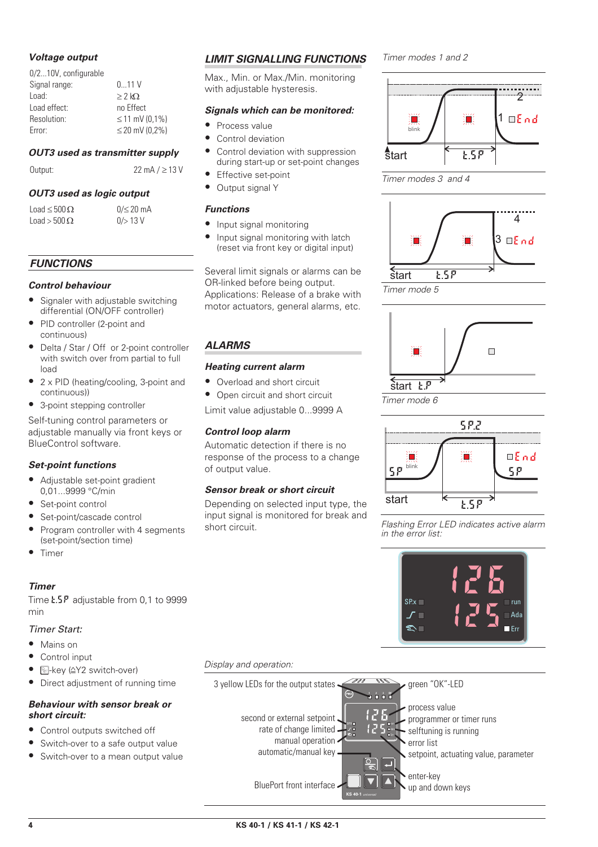### *Voltage output*

| 011V                |
|---------------------|
| $> 2$ kO            |
| no Effect           |
| $\leq$ 11 mV (0,1%) |
| $\leq$ 20 mV (0.2%) |
|                     |

#### *OUT3 used as transmitter supply*

Output:  $22 \text{ mA} / \geq 13 \text{ V}$ 

### *OUT3 used as logic output*

Load  $\leq 500 \Omega$ Load  $>$  500 $\Omega$ 

 $0/$  20 mA  $0/$  13 V

### *FUNCTIONS*

### *Control behaviour*

- Signaler with adjustable switching differential (ON/OFF controller)
- PID controller (2-point and continuous)
- Delta / Star / Off or 2-point controller with switch over from partial to full load
- 2 x PID (heating/cooling, 3-point and continuous))
- 3-point stepping controller

Self-tuning control parameters or adjustable manually via front keys or BlueControl software.

### *Set-point functions*

- Adjustable set-point gradient 0,01...9999 °C/min
- Set-point control
- Set-point/cascade control
- Program controller with 4 segments (set-point/section time)
- Timer

### *Timer*

Time **t.5P** adjustable from 0,1 to 9999 min

# *Timer Start:*

- Mains on
- Control input
- **•** Fey (4Y2 switch-over)
- Direct adjustment of running time

### *Behaviour with sensor break or short circuit:*

- Control outputs switched off
- Switch-over to a safe output value
- Switch-over to a mean output value

# *LIMIT SIGNALLING FUNCTIONS*

Max., Min. or Max./Min. monitoring with adjustable hysteresis.

#### *Signals which can be monitored:*

- Process value
- Control deviation
- Control deviation with suppression during start-up or set-point changes
- **Effective set-point**
- Output signal Y

### *Functions*

- Input signal monitoring
- Input signal monitoring with latch (reset via front key or digital input)

Several limit signals or alarms can be OR-linked before being output. Applications: Release of a brake with motor actuators, general alarms, etc.

# *ALARMS*

### *Heating current alarm*

- Overload and short circuit
- Open circuit and short circuit

Limit value adjustable 0...9999 A

### *Control loop alarm*

Automatic detection if there is no response of the process to a change of output value.

### *Sensor break or short circuit*

Depending on selected input type, the input signal is monitored for break and short circuit.

*Timer modes 1 and 2*

2  $1 \square$ *End* 道 T blink start t.SP





*Timer mode 5*



*Timer mode 6*



*Flashing Error LED indicates active alarm in the error list:*



### *Display and operation:*

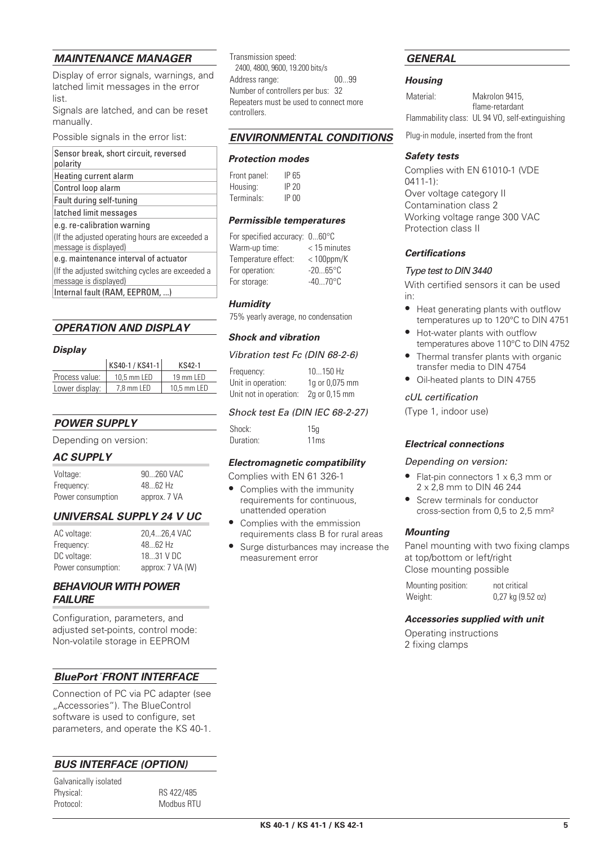### *MAINTENANCE MANAGER*

Display of error signals, warnings, and latched limit messages in the error list.

Signals are latched, and can be reset manually.

Possible signals in the error list:

| Sensor break, short circuit, reversed<br>polarity                        |
|--------------------------------------------------------------------------|
| Heating current alarm                                                    |
| Control loop alarm                                                       |
| Fault during self-tuning                                                 |
| latched limit messages                                                   |
| e.g. re-calibration warning                                              |
| If the adjusted operating hours are exceeded a<br>message is displayed)  |
| e.g. maintenance interval of actuator                                    |
| If the adjusted switching cycles are exceeded a<br>message is displayed) |
| Internal fault (RAM, EEPROM, )                                           |

#### *OPERATION AND DISPLAY*

#### *Display*

|                | KS40-1 / KS41-1 | KS42-1                  |
|----------------|-----------------|-------------------------|
| Process value: | 10.5 mm LED     | $19$ mm $\overline{15}$ |
| Lower display: | 7.8 mm LED      | 10.5 mm LED             |

### *POWER SUPPLY*

Depending on version:

#### *AC SUPPLY*

| Voltage:          | 90260 VAC    |
|-------------------|--------------|
| Frequency:        | $4862$ Hz    |
| Power consumption | approx. 7 VA |

### *UNIVERSAL SUPPLY 24 V UC*

| AC voltage:        | 20,426,4 VAC     |
|--------------------|------------------|
| Frequency:         | $4862$ Hz        |
| DC voltage:        | 18.31 V DC       |
| Power consumption: | approx: 7 VA (W) |

### *BEHAVIOUR WITH POWER FAILURE*

Configuration, parameters, and adiusted set-points, control mode: Non-volatile storage in EEPROM

### *BluePort ® FRONT INTERFACE*

Connection of PC via PC adapter (see "Accessories"). The BlueControl software is used to configure, set parameters, and operate the KS 40-1.

# *BUS INTERFACE (OPTION)*

Physical: RS 422/485 Modbus RTU

| Galvanically isolated |  |
|-----------------------|--|
| Physical:             |  |
| Protocol:             |  |

Transmission speed: 2400, 4800, 9600, 19.200 bits/s Address range: 00...99 Number of controllers per bus: 32 Repeaters must be used to connect more controllers.

#### *ENVIRONMENTAL CONDITIONS*

#### *Protection modes*

| Front panel: | IP 65        |
|--------------|--------------|
| Housing:     | IP20         |
| Terminals:   | <b>IP 00</b> |

#### *Permissible temperatures*

| For specified accuracy: 060°C |                   |
|-------------------------------|-------------------|
| Warm-up time:                 | $<$ 15 minutes    |
| Temperature effect:           | $<$ 100ppm/K      |
| For operation:                | $-2065$ °C        |
| For storage:                  | $-4070^{\circ}$ C |

#### *Humidity*

75% yearly average, no condensation

#### *Shock and vibration*

#### *Vibration test Fc (DIN 68-2-6)*

| Frequency:             | 10150 Hz       |
|------------------------|----------------|
| Unit in operation:     | 1g or 0,075 mm |
| Unit not in operation: | 2g or 0,15 mm  |

#### *Shock test Ea (DIN IEC 68-2-27)*

| Shock:    | 15q  |  |  |
|-----------|------|--|--|
| Duration: | 11ms |  |  |

### *Electromagnetic compatibility*

Complies with EN 61 326-1

- Complies with the immunity requirements for continuous, unattended operation
- Complies with the emmission requirements class B for rural areas
- Surge disturbances may increase the measurement error

### *GENERAL*

#### *Housing*

Material: Makrolon 9415, flame-retardant Flammability class: UL 94 VO, self-extinguishing

Plug-in module, inserted from the front

#### *Safety tests*

Complies with EN 61010-1 (VDE 0411-1): Over voltage category II Contamination class 2 Working voltage range 300 VAC Protection class II

### *Certifications*

#### *Type test to DIN 3440*

With certified sensors it can be used in:

- Heat generating plants with outflow temperatures up to 120°C to DIN 4751
- Hot-water plants with outflow temperatures above 110°C to DIN 4752
- Thermal transfer plants with organic transfer media to DIN 4754
- Oil-heated plants to DIN 4755

#### *cUL certification*

(Type 1, indoor use)

#### *Electrical connections*

#### *Depending on version:*

- Flat-pin connectors 1 x 6,3 mm or 2 x 2,8 mm to DIN 46 244
- Screw terminals for conductor cross-section from 0,5 to 2,5 mm²

### *Mounting*

Panel mounting with two fixing clamps at top/bottom or left/right Close mounting possible

| Mounting position: | not critical          |
|--------------------|-----------------------|
| Weight:            | $0,27$ kg $(9.52$ oz) |

#### *Accessories supplied with unit*

Operating instructions 2 fixing clamps

| specified accuracy: 060°C |                   |
|---------------------------|-------------------|
| rm-up time:               | $<$ 15 minutes    |
| nperature effect:         | $<$ 100ppm/K      |
| operation:                | $-2065$ °C        |
| storage:                  | $-4070^{\circ}$ C |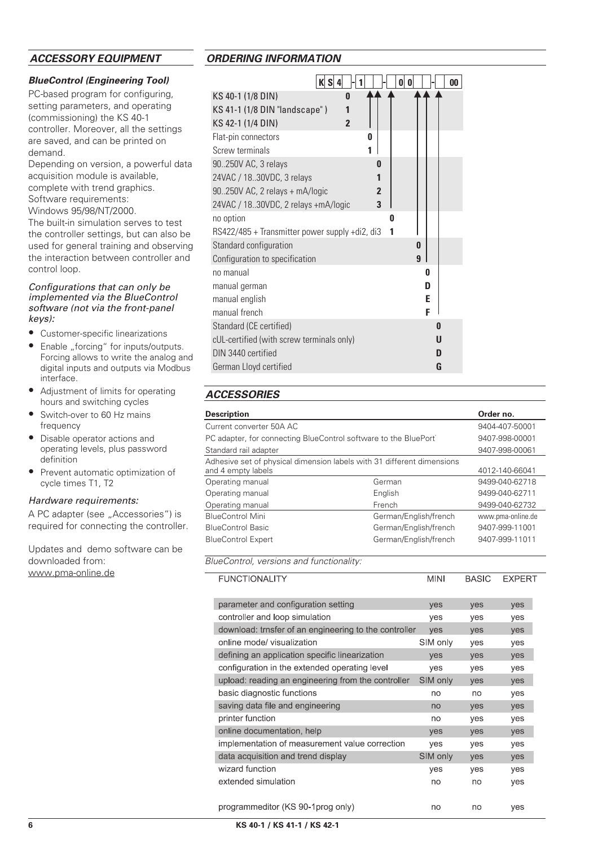### *ACCESSORY EQUIPMENT*

#### *BlueControl (Engineering Tool)*

PC-based program for configuring, setting parameters, and operating (commissioning) the KS 40-1 controller. Moreover, all the settings are saved, and can be printed on demand.

Depending on version, a powerful data acquisition module is available, complete with trend graphics. Software requirements:

Windows 95/98/NT/2000.

The built-in simulation serves to test the controller settings, but can also be used for general training and observing the interaction between controller and control loop.

#### *Configurations that can only be implemented via the BlueControl software (not via the front-panel keys):*

- Customer-specific linearizations
- Enable "forcing" for inputs/outputs. Forcing allows to write the analog and digital inputs and outputs via Modbus interface.
- Adjustment of limits for operating hours and switching cycles
- Switch-over to 60 Hz mains frequency
- Disable operator actions and operating levels, plus password definition
- Prevent automatic optimization of cycle times T1, T2

#### *Hardware requirements:*

A PC adapter (see ..Accessories") is required for connecting the controller.

Updates and demo software can be downloaded from: www.pma-online.de

### *ORDERING INFORMATION*

| K S<br>O<br>0                                   | 00 |
|-------------------------------------------------|----|
| KS 40-1 (1/8 DIN)<br>O                          |    |
| KS 41-1 (1/8 DIN "landscape")<br>1              |    |
| KS 42-1 (1/4 DIN)<br>$\overline{2}$             |    |
| Flat-pin connectors<br>0                        |    |
| Screw terminals<br>1                            |    |
| 90.250V AC, 3 relays<br>O                       |    |
| 24VAC / 18.30VDC, 3 relays                      |    |
| 90.250V AC, 2 relays + mA/logic<br>$\mathbf{2}$ |    |
| 24VAC / 18.30VDC, 2 relays +mA/logic<br>3       |    |
| no option<br>n                                  |    |
| RS422/485 + Transmitter power supply +di2, di3  |    |
| Standard configuration<br>0                     |    |
| $\mathbf{q}$<br>Configuration to specification  |    |
| no manual                                       | 0  |
| manual german                                   | D  |
| manual english                                  | E  |
| manual french                                   | F  |
| Standard (CE certified)                         | 0  |
| cUL-certified (with screw terminals only)       | U  |
| DIN 3440 certified                              | n  |
| German Lloyd certified                          | G  |

# *ACCESSORIES*

| <b>Description</b>                                                                           |                       | Order no.         |
|----------------------------------------------------------------------------------------------|-----------------------|-------------------|
| Current converter 50A AC                                                                     |                       | 9404-407-50001    |
| PC adapter, for connecting BlueControl software to the BluePort <sup>®</sup>                 |                       | 9407-998-00001    |
| Standard rail adapter                                                                        |                       | 9407-998-00061    |
| Adhesive set of physical dimension labels with 31 different dimensions<br>and 4 empty labels |                       | 4012-140-66041    |
| Operating manual                                                                             | German                | 9499-040-62718    |
| Operating manual                                                                             | English               | 9499-040-62711    |
| Operating manual                                                                             | French                | 9499-040-62732    |
| <b>BlueControl Mini</b>                                                                      | German/English/french | www.pma-online.de |
| <b>BlueControl Basic</b>                                                                     | German/English/french | 9407-999-11001    |
| <b>BlueControl Expert</b>                                                                    | German/English/french | 9407-999-11011    |

*BlueControl, versions and functionality:*

| <b>FUNCTIONALITY</b>                                  | <b>MINI</b> | <b>BASIC</b> | <b>EXPERT</b> |
|-------------------------------------------------------|-------------|--------------|---------------|
| parameter and configuration setting                   | yes         | yes          | yes           |
| controller and loop simulation                        | yes         | yes          | yes           |
| download: trnsfer of an engineering to the controller | yes         | yes          | yes           |
| online mode/ visualization                            | SIM only    | yes          | yes           |
| defining an application specific linearization        | yes         | yes          | yes           |
| configuration in the extended operating level         | yes         | yes          | yes           |
| upload: reading an engineering from the controller    | SIM only    | yes          | yes           |
| basic diagnostic functions                            | no          | no           | yes           |
| saving data file and engineering                      | no          | yes          | yes           |
| printer function                                      | no          | yes          | yes           |
| online documentation, help                            | yes         | yes          | yes           |
| implementation of measurement value correction        | yes         | yes          | yes           |
| data acquisition and trend display                    | SIM only    | yes          | yes           |
| wizard function                                       | yes         | yes          | yes           |
| extended simulation                                   | no          | no           | yes           |
|                                                       |             |              |               |
| programmeditor (KS 90-1 prog only)                    | no          | no           | yes           |